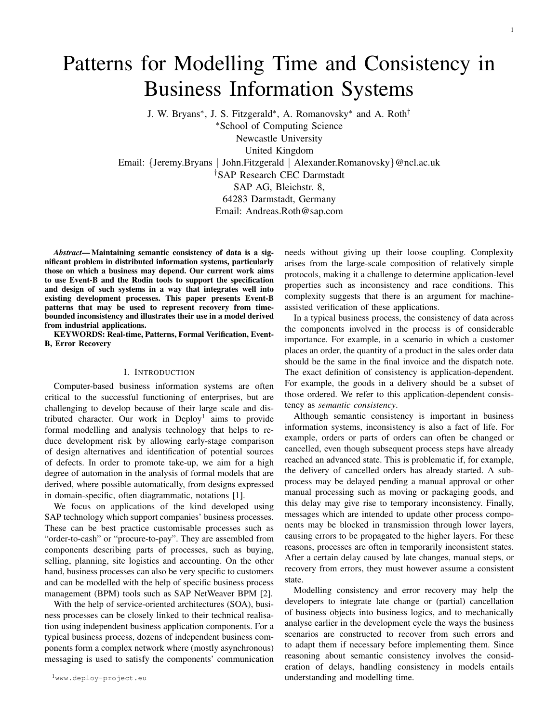# Patterns for Modelling Time and Consistency in Business Information Systems

J. W. Bryans<sup>∗</sup> , J. S. Fitzgerald<sup>∗</sup> , A. Romanovsky<sup>∗</sup> and A. Roth†

<sup>∗</sup>School of Computing Science Newcastle University United Kingdom Email: {Jeremy.Bryans | John.Fitzgerald | Alexander.Romanovsky}@ncl.ac.uk †SAP Research CEC Darmstadt SAP AG, Bleichstr. 8, 64283 Darmstadt, Germany Email: Andreas.Roth@sap.com

*Abstract*— Maintaining semantic consistency of data is a significant problem in distributed information systems, particularly those on which a business may depend. Our current work aims to use Event-B and the Rodin tools to support the specification and design of such systems in a way that integrates well into existing development processes. This paper presents Event-B patterns that may be used to represent recovery from timebounded inconsistency and illustrates their use in a model derived from industrial applications.

KEYWORDS: Real-time, Patterns, Formal Verification, Event-B, Error Recovery

### I. INTRODUCTION

Computer-based business information systems are often critical to the successful functioning of enterprises, but are challenging to develop because of their large scale and distributed character. Our work in Deploy<sup>1</sup> aims to provide formal modelling and analysis technology that helps to reduce development risk by allowing early-stage comparison of design alternatives and identification of potential sources of defects. In order to promote take-up, we aim for a high degree of automation in the analysis of formal models that are derived, where possible automatically, from designs expressed in domain-specific, often diagrammatic, notations [1].

We focus on applications of the kind developed using SAP technology which support companies' business processes. These can be best practice customisable processes such as "order-to-cash" or "procure-to-pay". They are assembled from components describing parts of processes, such as buying, selling, planning, site logistics and accounting. On the other hand, business processes can also be very specific to customers and can be modelled with the help of specific business process management (BPM) tools such as SAP NetWeaver BPM [2].

With the help of service-oriented architectures (SOA), business processes can be closely linked to their technical realisation using independent business application components. For a typical business process, dozens of independent business components form a complex network where (mostly asynchronous) messaging is used to satisfy the components' communication needs without giving up their loose coupling. Complexity arises from the large-scale composition of relatively simple protocols, making it a challenge to determine application-level properties such as inconsistency and race conditions. This complexity suggests that there is an argument for machineassisted verification of these applications.

In a typical business process, the consistency of data across the components involved in the process is of considerable importance. For example, in a scenario in which a customer places an order, the quantity of a product in the sales order data should be the same in the final invoice and the dispatch note. The exact definition of consistency is application-dependent. For example, the goods in a delivery should be a subset of those ordered. We refer to this application-dependent consistency as *semantic consistency*.

Although semantic consistency is important in business information systems, inconsistency is also a fact of life. For example, orders or parts of orders can often be changed or cancelled, even though subsequent process steps have already reached an advanced state. This is problematic if, for example, the delivery of cancelled orders has already started. A subprocess may be delayed pending a manual approval or other manual processing such as moving or packaging goods, and this delay may give rise to temporary inconsistency. Finally, messages which are intended to update other process components may be blocked in transmission through lower layers, causing errors to be propagated to the higher layers. For these reasons, processes are often in temporarily inconsistent states. After a certain delay caused by late changes, manual steps, or recovery from errors, they must however assume a consistent state.

Modelling consistency and error recovery may help the developers to integrate late change or (partial) cancellation of business objects into business logics, and to mechanically analyse earlier in the development cycle the ways the business scenarios are constructed to recover from such errors and to adapt them if necessary before implementing them. Since reasoning about semantic consistency involves the consideration of delays, handling consistency in models entails understanding and modelling time.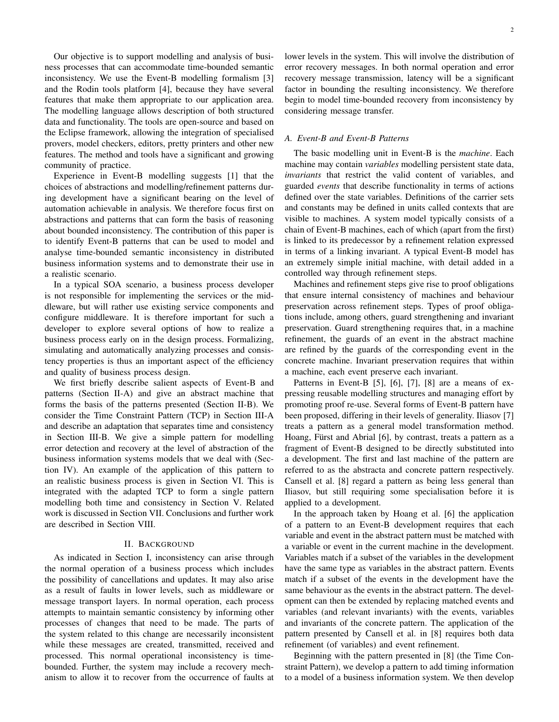Our objective is to support modelling and analysis of business processes that can accommodate time-bounded semantic inconsistency. We use the Event-B modelling formalism [3] and the Rodin tools platform [4], because they have several features that make them appropriate to our application area. The modelling language allows description of both structured data and functionality. The tools are open-source and based on the Eclipse framework, allowing the integration of specialised provers, model checkers, editors, pretty printers and other new features. The method and tools have a significant and growing community of practice.

Experience in Event-B modelling suggests [1] that the choices of abstractions and modelling/refinement patterns during development have a significant bearing on the level of automation achievable in analysis. We therefore focus first on abstractions and patterns that can form the basis of reasoning about bounded inconsistency. The contribution of this paper is to identify Event-B patterns that can be used to model and analyse time-bounded semantic inconsistency in distributed business information systems and to demonstrate their use in a realistic scenario.

In a typical SOA scenario, a business process developer is not responsible for implementing the services or the middleware, but will rather use existing service components and configure middleware. It is therefore important for such a developer to explore several options of how to realize a business process early on in the design process. Formalizing, simulating and automatically analyzing processes and consistency properties is thus an important aspect of the efficiency and quality of business process design.

We first briefly describe salient aspects of Event-B and patterns (Section II-A) and give an abstract machine that forms the basis of the patterns presented (Section II-B). We consider the Time Constraint Pattern (TCP) in Section III-A and describe an adaptation that separates time and consistency in Section III-B. We give a simple pattern for modelling error detection and recovery at the level of abstraction of the business information systems models that we deal with (Section IV). An example of the application of this pattern to an realistic business process is given in Section VI. This is integrated with the adapted TCP to form a single pattern modelling both time and consistency in Section V. Related work is discussed in Section VII. Conclusions and further work are described in Section VIII.

# II. BACKGROUND

As indicated in Section I, inconsistency can arise through the normal operation of a business process which includes the possibility of cancellations and updates. It may also arise as a result of faults in lower levels, such as middleware or message transport layers. In normal operation, each process attempts to maintain semantic consistency by informing other processes of changes that need to be made. The parts of the system related to this change are necessarily inconsistent while these messages are created, transmitted, received and processed. This normal operational inconsistency is timebounded. Further, the system may include a recovery mechanism to allow it to recover from the occurrence of faults at lower levels in the system. This will involve the distribution of error recovery messages. In both normal operation and error recovery message transmission, latency will be a significant factor in bounding the resulting inconsistency. We therefore begin to model time-bounded recovery from inconsistency by considering message transfer.

# *A. Event-B and Event-B Patterns*

The basic modelling unit in Event-B is the *machine*. Each machine may contain *variables* modelling persistent state data, *invariants* that restrict the valid content of variables, and guarded *events* that describe functionality in terms of actions defined over the state variables. Definitions of the carrier sets and constants may be defined in units called contexts that are visible to machines. A system model typically consists of a chain of Event-B machines, each of which (apart from the first) is linked to its predecessor by a refinement relation expressed in terms of a linking invariant. A typical Event-B model has an extremely simple initial machine, with detail added in a controlled way through refinement steps.

Machines and refinement steps give rise to proof obligations that ensure internal consistency of machines and behaviour preservation across refinement steps. Types of proof obligations include, among others, guard strengthening and invariant preservation. Guard strengthening requires that, in a machine refinement, the guards of an event in the abstract machine are refined by the guards of the corresponding event in the concrete machine. Invariant preservation requires that within a machine, each event preserve each invariant.

Patterns in Event-B [5], [6], [7], [8] are a means of expressing reusable modelling structures and managing effort by promoting proof re-use. Several forms of Event-B pattern have been proposed, differing in their levels of generality. Iliasov [7] treats a pattern as a general model transformation method. Hoang, Fürst and Abrial [6], by contrast, treats a pattern as a fragment of Event-B designed to be directly substituted into a development. The first and last machine of the pattern are referred to as the abstracta and concrete pattern respectively. Cansell et al. [8] regard a pattern as being less general than Iliasov, but still requiring some specialisation before it is applied to a development.

In the approach taken by Hoang et al. [6] the application of a pattern to an Event-B development requires that each variable and event in the abstract pattern must be matched with a variable or event in the current machine in the development. Variables match if a subset of the variables in the development have the same type as variables in the abstract pattern. Events match if a subset of the events in the development have the same behaviour as the events in the abstract pattern. The development can then be extended by replacing matched events and variables (and relevant invariants) with the events, variables and invariants of the concrete pattern. The application of the pattern presented by Cansell et al. in [8] requires both data refinement (of variables) and event refinement.

Beginning with the pattern presented in [8] (the Time Constraint Pattern), we develop a pattern to add timing information to a model of a business information system. We then develop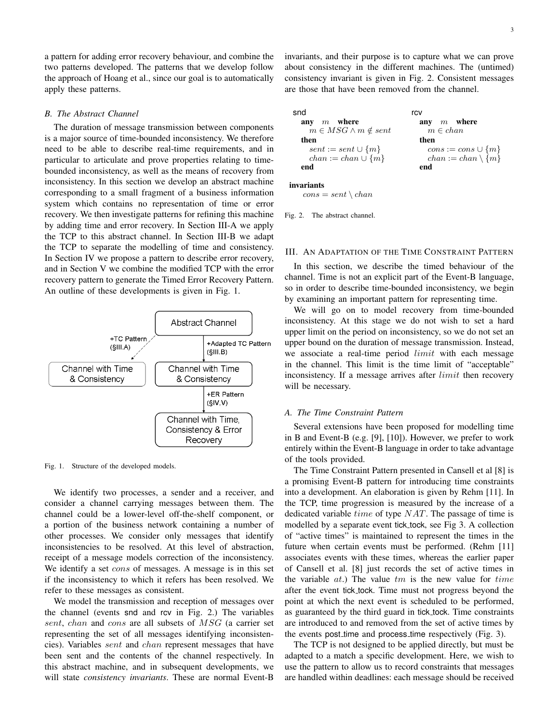a pattern for adding error recovery behaviour, and combine the two patterns developed. The patterns that we develop follow the approach of Hoang et al., since our goal is to automatically apply these patterns.

#### *B. The Abstract Channel*

The duration of message transmission between components is a major source of time-bounded inconsistency. We therefore need to be able to describe real-time requirements, and in particular to articulate and prove properties relating to timebounded inconsistency, as well as the means of recovery from inconsistency. In this section we develop an abstract machine corresponding to a small fragment of a business information system which contains no representation of time or error recovery. We then investigate patterns for refining this machine by adding time and error recovery. In Section III-A we apply the TCP to this abstract channel. In Section III-B we adapt the TCP to separate the modelling of time and consistency. In Section IV we propose a pattern to describe error recovery, and in Section V we combine the modified TCP with the error recovery pattern to generate the Timed Error Recovery Pattern. An outline of these developments is given in Fig. 1.



Fig. 1. Structure of the developed models.

We identify two processes, a sender and a receiver, and consider a channel carrying messages between them. The channel could be a lower-level off-the-shelf component, or a portion of the business network containing a number of other processes. We consider only messages that identify inconsistencies to be resolved. At this level of abstraction, receipt of a message models correction of the inconsistency. We identify a set *cons* of messages. A message is in this set if the inconsistency to which it refers has been resolved. We refer to these messages as consistent.

We model the transmission and reception of messages over the channel (events snd and rcv in Fig. 2.) The variables sent, chan and cons are all subsets of MSG (a carrier set representing the set of all messages identifying inconsistencies). Variables sent and chan represent messages that have been sent and the contents of the channel respectively. In this abstract machine, and in subsequent developments, we will state *consistency invariants*. These are normal Event-B

invariants, and their purpose is to capture what we can prove about consistency in the different machines. The (untimed) consistency invariant is given in Fig. 2. Consistent messages are those that have been removed from the channel.

| snd                              | rcv                            |
|----------------------------------|--------------------------------|
| any $m$ where                    | any $m$ where                  |
| $m \in MSG \wedge m \notin sent$ | $m \in chan$                   |
| then                             | then                           |
| $sent := sent \cup \{m\}$        | $cons := cons \cup \{m\}$      |
| $chan := chan \cup \{m\}$        | $chan := chan \setminus \{m\}$ |
| end                              | end                            |
| nvariants                        |                                |
| $cons = sent \setminus chan$     |                                |

Fig. 2. The abstract channel.

in

# III. AN ADAPTATION OF THE TIME CONSTRAINT PATTERN

In this section, we describe the timed behaviour of the channel. Time is not an explicit part of the Event-B language, so in order to describe time-bounded inconsistency, we begin by examining an important pattern for representing time.

We will go on to model recovery from time-bounded inconsistency. At this stage we do not wish to set a hard upper limit on the period on inconsistency, so we do not set an upper bound on the duration of message transmission. Instead, we associate a real-time period *limit* with each message in the channel. This limit is the time limit of "acceptable" inconsistency. If a message arrives after limit then recovery will be necessary.

# *A. The Time Constraint Pattern*

Several extensions have been proposed for modelling time in B and Event-B (e.g. [9], [10]). However, we prefer to work entirely within the Event-B language in order to take advantage of the tools provided.

The Time Constraint Pattern presented in Cansell et al [8] is a promising Event-B pattern for introducing time constraints into a development. An elaboration is given by Rehm [11]. In the TCP, time progression is measured by the increase of a dedicated variable  $time$  of type  $NAT$ . The passage of time is modelled by a separate event tick tock, see Fig 3. A collection of "active times" is maintained to represent the times in the future when certain events must be performed. (Rehm [11] associates events with these times, whereas the earlier paper of Cansell et al. [8] just records the set of active times in the variable  $at.$ ) The value  $tm$  is the new value for  $time$ after the event tick tock. Time must not progress beyond the point at which the next event is scheduled to be performed, as guaranteed by the third guard in tick tock. Time constraints are introduced to and removed from the set of active times by the events post time and process time respectively (Fig. 3).

The TCP is not designed to be applied directly, but must be adapted to a match a specific development. Here, we wish to use the pattern to allow us to record constraints that messages are handled within deadlines: each message should be received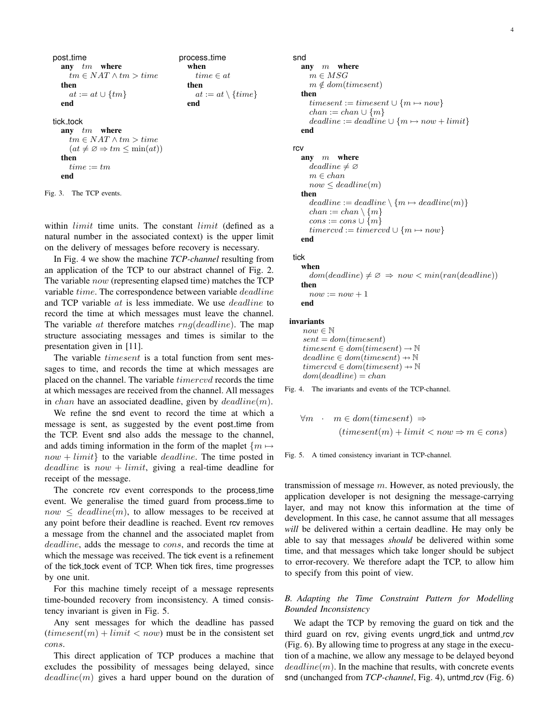```
post_time
  any tm where
    tm \in NAT \wedge tm > timethen
    at := at \cup \{tm\}end
                                     process_time
                                        when
                                          time \in atthen
                                          at := at \setminus \{time\}end
tick_tock
```

```
any tm where
  tm \in NAT \wedge tm > time(at \neq \emptyset \Rightarrow tm \leq min(at))then
  time := tmend
```

```
Fig. 3. The TCP events.
```
within *limit* time units. The constant *limit* (defined as a natural number in the associated context) is the upper limit on the delivery of messages before recovery is necessary.

In Fig. 4 we show the machine *TCP-channel* resulting from an application of the TCP to our abstract channel of Fig. 2. The variable *now* (representing elapsed time) matches the TCP variable time. The correspondence between variable deadline and TCP variable at is less immediate. We use deadline to record the time at which messages must leave the channel. The variable at therefore matches  $rnq(deadline)$ . The map structure associating messages and times is similar to the presentation given in [11].

The variable *timesent* is a total function from sent messages to time, and records the time at which messages are placed on the channel. The variable *timercvd* records the time at which messages are received from the channel. All messages in *chan* have an associated deadline, given by  $deadline(m)$ .

We refine the snd event to record the time at which a message is sent, as suggested by the event post time from the TCP. Event snd also adds the message to the channel, and adds timing information in the form of the maplet  ${m \mapsto}$  $now + limit$  to the variable *deadline*. The time posted in deadline is now + limit, giving a real-time deadline for receipt of the message.

The concrete rcv event corresponds to the process time event. We generalise the timed guard from process time to  $now \leq deadline(m)$ , to allow messages to be received at any point before their deadline is reached. Event rcv removes a message from the channel and the associated maplet from deadline, adds the message to cons, and records the time at which the message was received. The tick event is a refinement of the tick tock event of TCP. When tick fires, time progresses by one unit.

For this machine timely receipt of a message represents time-bounded recovery from inconsistency. A timed consistency invariant is given in Fig. 5.

Any sent messages for which the deadline has passed  $(timesent(m) + limit < now)$  must be in the consistent set cons.

This direct application of TCP produces a machine that excludes the possibility of messages being delayed, since  $deadline(m)$  gives a hard upper bound on the duration of

```
snd
  any m where
    m \in MSGm \notin dom(timesent)then
    timesent := timesent \cup {m \mapsto now}
    chan := chan \cup \{m\}deadline := deadline \cup \{m \mapsto now + limit\}end
rcv
  any m where
    deadline \neq \varnothingm \in chan
```

```
now \leq deadline(m)then
  deadline := deadline \setminus \{m \mapsto deadline(m)\}chan := chan \setminus \{m\}cons := cons \cup \{m\}
```

```
timeout := timercvd \cup \{m \mapsto now\}
```

```
end
tick
```

```
when
```

```
dom(deadline) \neq \emptyset \Rightarrow now < min(rangeadline))then
  now := now + 1end
```
# invariants

 $now \in \mathbb{N}$  $sent = dom(timesent)$  $timesent \in dom(timesent) \rightarrow \mathbb{N}$  $deadline \in dom(timesent) \rightarrow \mathbb{N}$  $timeout \in dom(timesent) \rightarrow \mathbb{N}$  $dom(deadline) = chan$ 

Fig. 4. The invariants and events of the TCP-channel.

$$
\forall m \quad m \in dom(timesent) \Rightarrow
$$
  
(timesent(m) + limit < now \Rightarrow m \in cons)

Fig. 5. A timed consistency invariant in TCP-channel.

transmission of message  $m$ . However, as noted previously, the application developer is not designing the message-carrying layer, and may not know this information at the time of development. In this case, he cannot assume that all messages *will* be delivered within a certain deadline. He may only be able to say that messages *should* be delivered within some time, and that messages which take longer should be subject to error-recovery. We therefore adapt the TCP, to allow him to specify from this point of view.

# *B. Adapting the Time Constraint Pattern for Modelling Bounded Inconsistency*

We adapt the TCP by removing the guard on tick and the third guard on rcv, giving events ungrd tick and untmd rcv (Fig. 6). By allowing time to progress at any stage in the execution of a machine, we allow any message to be delayed beyond  $deadline(m)$ . In the machine that results, with concrete events snd (unchanged from *TCP-channel*, Fig. 4), untmd\_rcv (Fig. 6)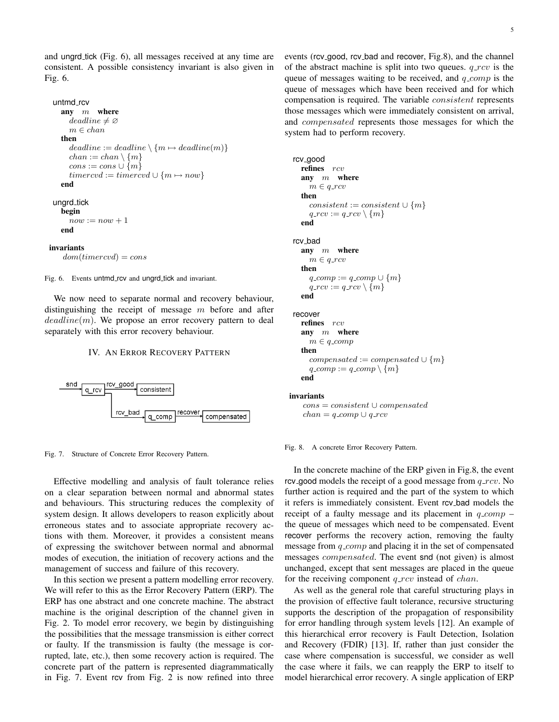and ungrd tick (Fig. 6), all messages received at any time are consistent. A possible consistency invariant is also given in Fig. 6.

```
untmd_rcv
  any m where
     deadline \neq \varnothingm \in chanthen
     deadline := deadline \setminus \{m \mapsto deadline(m)\}chan := chan \setminus \{m\}cons := cons \cup \{m\}timeout := timercvd \cup \{m \mapsto now\}end
unard_tick
  begin
```

```
now := now + 1end
```
#### invariants

 $dom(timercvd) = cons$ 

#### Fig. 6. Events untmd\_rcv and ungrd\_tick and invariant.

We now need to separate normal and recovery behaviour, distinguishing the receipt of message  $m$  before and after  $deadline(m)$ . We propose an error recovery pattern to deal separately with this error recovery behaviour.

# IV. AN ERROR RECOVERY PATTERN



Fig. 7. Structure of Concrete Error Recovery Pattern.

Effective modelling and analysis of fault tolerance relies on a clear separation between normal and abnormal states and behaviours. This structuring reduces the complexity of system design. It allows developers to reason explicitly about erroneous states and to associate appropriate recovery actions with them. Moreover, it provides a consistent means of expressing the switchover between normal and abnormal modes of execution, the initiation of recovery actions and the management of success and failure of this recovery.

In this section we present a pattern modelling error recovery. We will refer to this as the Error Recovery Pattern (ERP). The ERP has one abstract and one concrete machine. The abstract machine is the original description of the channel given in Fig. 2. To model error recovery, we begin by distinguishing the possibilities that the message transmission is either correct or faulty. If the transmission is faulty (the message is corrupted, late, etc.), then some recovery action is required. The concrete part of the pattern is represented diagrammatically in Fig. 7. Event rcv from Fig. 2 is now refined into three events (rcv<sub>-good, rcv-bad and recover, Fig.8)</sub>, and the channel of the abstract machine is split into two queues.  $q_{\perp}rcv$  is the queue of messages waiting to be received, and  $q_{\text{1}}\text{comp}$  is the queue of messages which have been received and for which compensation is required. The variable consistent represents those messages which were immediately consistent on arrival, and compensated represents those messages for which the system had to perform recovery.

```
rcv<sub>-good</sub>
   refines rcv
  any m where
      m \in q_{\textit{rcv}}then
      consistent := consistent \cup \{m\}q_{\textit{-}rcv} := q_{\textit{-}rcv} \setminus \{m\}end
rcv bad
  any m where
      m \in q_{\textit{TCV}}then
      q_{\text{-}comp} := q_{\text{-}comp} \cup \{m\}q_{\textit{-}rcv} := q_{\textit{-}rcv} \setminus \{m\}end
recover
  refines rcv
  any m where
      m \in q \_compthen
      compensated := compensated \cup \{m\}q_{\text{-}comp} := q_{\text{-}comp} \setminus \{m\}end
```
#### invariants

 $cons = consistent \cup compensated$  $chan = q_{\mathcal{L}} comp \cup q_{\mathcal{L}} rev$ 

#### Fig. 8. A concrete Error Recovery Pattern.

In the concrete machine of the ERP given in Fig.8, the event rcv good models the receipt of a good message from  $q_{\text{r}}cv$ . No further action is required and the part of the system to which it refers is immediately consistent. Event rcv bad models the receipt of a faulty message and its placement in  $q_{\text{1}}$   $\sim$ the queue of messages which need to be compensated. Event recover performs the recovery action, removing the faulty message from  $q_{\text{-}}comp$  and placing it in the set of compensated messages compensated. The event snd (not given) is almost unchanged, except that sent messages are placed in the queue for the receiving component  $q_{\text{v}}$  instead of *chan*.

As well as the general role that careful structuring plays in the provision of effective fault tolerance, recursive structuring supports the description of the propagation of responsibility for error handling through system levels [12]. An example of this hierarchical error recovery is Fault Detection, Isolation and Recovery (FDIR) [13]. If, rather than just consider the case where compensation is successful, we consider as well the case where it fails, we can reapply the ERP to itself to model hierarchical error recovery. A single application of ERP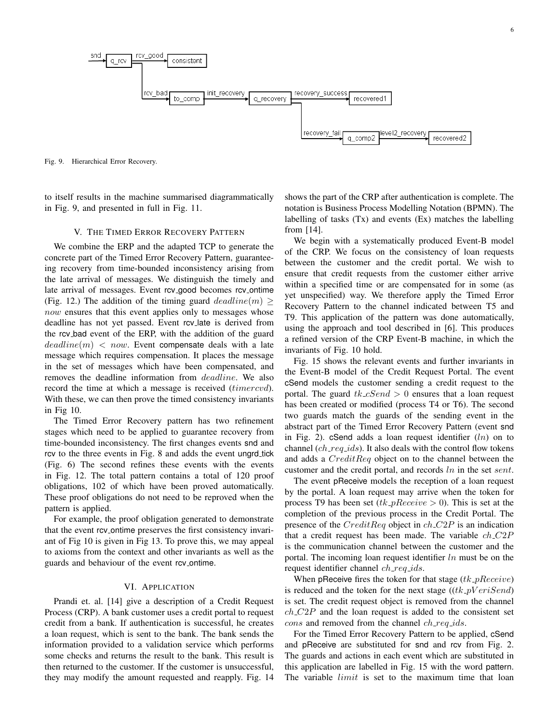

Fig. 9. Hierarchical Error Recovery.

to itself results in the machine summarised diagrammatically in Fig. 9, and presented in full in Fig. 11.

# V. THE TIMED ERROR RECOVERY PATTERN

We combine the ERP and the adapted TCP to generate the concrete part of the Timed Error Recovery Pattern, guaranteeing recovery from time-bounded inconsistency arising from the late arrival of messages. We distinguish the timely and late arrival of messages. Event rcv<sub>-good</sub> becomes rcv<sub>-</sub>ontime (Fig. 12.) The addition of the timing guard  $deadline(m) \ge$ now ensures that this event applies only to messages whose deadline has not yet passed. Event rcv late is derived from the rcv bad event of the ERP, with the addition of the guard  $deadline(m)$  < now. Event compensate deals with a late message which requires compensation. It places the message in the set of messages which have been compensated, and removes the deadline information from deadline. We also record the time at which a message is received (timercvd). With these, we can then prove the timed consistency invariants in Fig 10.

The Timed Error Recovery pattern has two refinement stages which need to be applied to guarantee recovery from time-bounded inconsistency. The first changes events snd and rcv to the three events in Fig. 8 and adds the event ungrd tick (Fig. 6) The second refines these events with the events in Fig. 12. The total pattern contains a total of 120 proof obligations, 102 of which have been proved automatically. These proof obligations do not need to be reproved when the pattern is applied.

For example, the proof obligation generated to demonstrate that the event rcv<sub>-</sub>ontime preserves the first consistency invariant of Fig 10 is given in Fig 13. To prove this, we may appeal to axioms from the context and other invariants as well as the guards and behaviour of the event rcv\_ontime.

# VI. APPLICATION

Prandi et. al. [14] give a description of a Credit Request Process (CRP). A bank customer uses a credit portal to request credit from a bank. If authentication is successful, he creates a loan request, which is sent to the bank. The bank sends the information provided to a validation service which performs some checks and returns the result to the bank. This result is then returned to the customer. If the customer is unsuccessful, they may modify the amount requested and reapply. Fig. 14 shows the part of the CRP after authentication is complete. The notation is Business Process Modelling Notation (BPMN). The labelling of tasks (Tx) and events (Ex) matches the labelling from [14].

We begin with a systematically produced Event-B model of the CRP. We focus on the consistency of loan requests between the customer and the credit portal. We wish to ensure that credit requests from the customer either arrive within a specified time or are compensated for in some (as yet unspecified) way. We therefore apply the Timed Error Recovery Pattern to the channel indicated between T5 and T9. This application of the pattern was done automatically, using the approach and tool described in [6]. This produces a refined version of the CRP Event-B machine, in which the invariants of Fig. 10 hold.

Fig. 15 shows the relevant events and further invariants in the Event-B model of the Credit Request Portal. The event cSend models the customer sending a credit request to the portal. The guard  $tk\_cSend > 0$  ensures that a loan request has been created or modified (process T4 or T6). The second two guards match the guards of the sending event in the abstract part of the Timed Error Recovery Pattern (event snd in Fig. 2). cSend adds a loan request identifier  $(ln)$  on to channel  $(ch\_req\_ids)$ . It also deals with the control flow tokens and adds a *CreditReq* object on to the channel between the customer and the credit portal, and records ln in the set sent.

The event pReceive models the reception of a loan request by the portal. A loan request may arrive when the token for process T9 has been set  $(tk$ -*pReceive*  $> 0$ ). This is set at the completion of the previous process in the Credit Portal. The presence of the  $Credit$ Req object in  $ch$ <sub>-C2</sub>P is an indication that a credit request has been made. The variable  $ch_{C2}P$ is the communication channel between the customer and the portal. The incoming loan request identifier  $ln$  must be on the request identifier channel *ch\_req\_ids*.

When pReceive fires the token for that stage  $(tk_{\textit{p}}\textit{Receive})$ is reduced and the token for the next stage  $((tk\_pVeriSend)$ is set. The credit request object is removed from the channel  $ch_{\alpha}C2P$  and the loan request is added to the consistent set cons and removed from the channel ch\_req\_ids.

For the Timed Error Recovery Pattern to be applied, cSend and pReceive are substituted for snd and rcv from Fig. 2. The guards and actions in each event which are substituted in this application are labelled in Fig. 15 with the word pattern. The variable *limit* is set to the maximum time that loan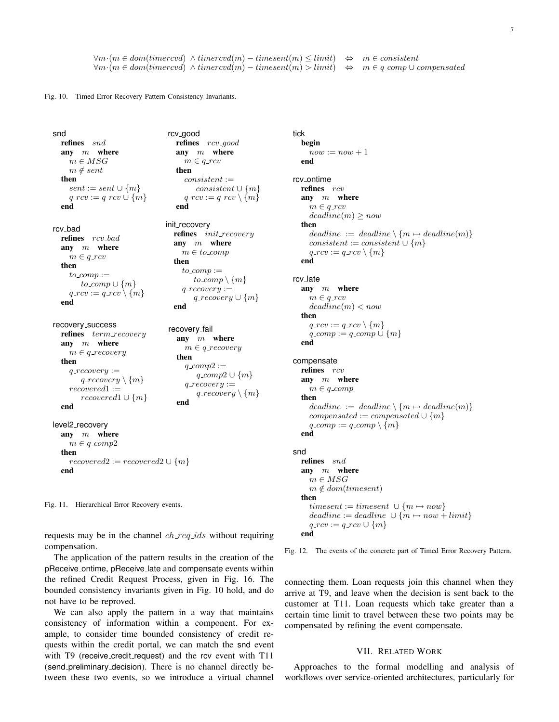```
\forall m \cdot (m \in dom(timercvd) \land timercvd(m) - timestamp(m) \le limit) \Leftrightarrow m \in consistent\forall m \cdot (m \in dom(timercvd) \land timercvd(m) - timestamp(m) > limit) \Leftrightarrow m \in q_{\text{comp}} \cup compensated
```
#### Fig. 10. Timed Error Recovery Pattern Consistency Invariants.

rcv good

then

end

then

end

recovery\_fail any  $m$  where  $m \in q$ -recovery

 $q_{\text{-}comp2} :=$ 

then

end

init\_recovery

refines rcv\_good any  $m$  where  $m \in q_{\textit{TCC}}$ 

 $consistent :=$ 

refines init\_recovery any  $m$  where  $m \in to \_comp$ 

> $to_{\textit{comp}} \setminus \{m\}$  $q\_recovery :=$

> > $q\_recovery \cup \{m\}$

 $q_{\text{-}comp2} \cup \{m\}$  $q\_recovery :=$ 

 $q\_recovery \setminus \{m\}$ 

 $to \_\mathit{comp} :=$ 

consistent ∪ {m}  $q_{\textit{-}rcv} := q_{\textit{-}rcv} \setminus \{m\}$ 

snd refines snd any  $m$  where  $m \in MSG$  $m \notin sent$ then  $sent := sent \cup \{m\}$  $q_{\textit{TCV}} := q_{\textit{TCV}} \cup \{m\}$ end

```
rcv bad
   refines rcv_bad
   any m where
      m \in q_{\textit{rcv}}then
      to_{\text{-com}} :=to\_{comp} \cup \{m\}q_{\textit{-}rcv} := q_{\textit{-}rcv} \setminus \{m\}end
```

```
recovery_success
  refines term_recovery
  any m where
    m \in q\_recoverythen
    q\_recovery :=q\_recovery \setminus \{m\}recovered1 :=recovered1 ∪ \{m\}end
```
level2 recovery any  $m$  where  $m \in q\_{comp2}$ then  $recovered2 := recovered2 \cup \{m\}$ end

Fig. 11. Hierarchical Error Recovery events.

requests may be in the channel  $ch\_req\_ids$  without requiring compensation.

The application of the pattern results in the creation of the pReceive\_ontime, pReceive\_late and compensate events within the refined Credit Request Process, given in Fig. 16. The bounded consistency invariants given in Fig. 10 hold, and do not have to be reproved.

We can also apply the pattern in a way that maintains consistency of information within a component. For example, to consider time bounded consistency of credit requests within the credit portal, we can match the snd event with T9 (receive credit request) and the rcv event with T11 (send preliminary decision). There is no channel directly between these two events, so we introduce a virtual channel

```
tick
  begin
     now := now + 1end
rcv ontime
  refines rcv
  any m where
     m \in q_{\textit{TCV}}deadline(m) \geq nowthen
     deadline := deadline \setminus \{m \mapsto deadline(m)\}\consistent := consistent \cup \{m\}q_{\textit{TCV}} := q_{\textit{TCV}} \setminus \{m\}end
rcv late
  any m where
     m \in q_{\text{r}}cvdeadline(m) < nowthen
     q_{\textit{-}rcv} := q_{\textit{-}rcv} \setminus \{m\}q_{\text{1}} \equiv q_{\text{2}} \pmod{m}end
compensate
  refines rcv
  any m where
     m \in q \_compthen
     deadline := deadline \setminus \{m \mapsto deadline(m)\}\compensated := compensated \cup \{m\}q_{\text{1}} \equiv q_{\text{2}} \pmod{m}end
snd
  refines snd
  any m where
     m \in MSGm \notin dom(timesent)then
     timesent := timesent \cup {m \mapsto now}
     deadline := deadline \cup \{m \mapsto now + limit\}q_{\textit{-}rcv} := q_{\textit{-}rcv} \cup \{m\}end
```


connecting them. Loan requests join this channel when they arrive at T9, and leave when the decision is sent back to the customer at T11. Loan requests which take greater than a certain time limit to travel between these two points may be compensated by refining the event compensate.

# VII. RELATED WORK

Approaches to the formal modelling and analysis of workflows over service-oriented architectures, particularly for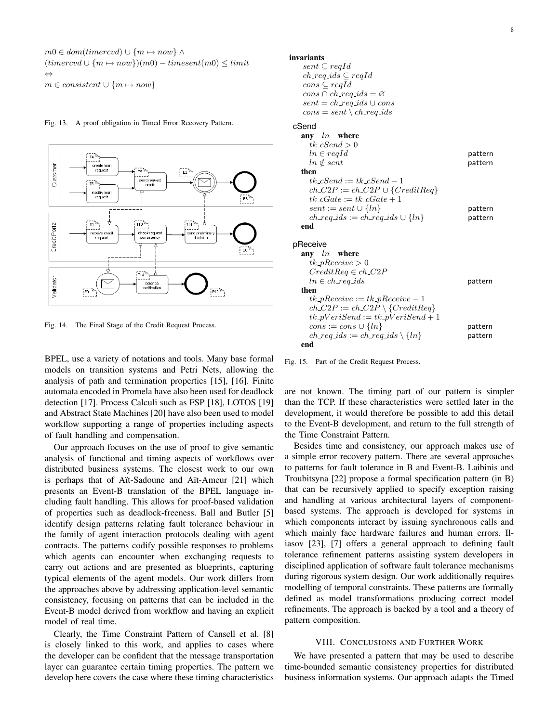$m0 \in dom(timercvd) \cup \{m \mapsto now\} \wedge$  $(timercvd \cup \{m \mapsto now\})(m0) - timestamp(m0) \le limit$ ⇔  $m \in consistent \cup \{m \mapsto now\}$ 

Fig. 13. A proof obligation in Timed Error Recovery Pattern.



Fig. 14. The Final Stage of the Credit Request Process.

BPEL, use a variety of notations and tools. Many base formal models on transition systems and Petri Nets, allowing the analysis of path and termination properties [15], [16]. Finite automata encoded in Promela have also been used for deadlock detection [17]. Process Calculi such as FSP [18], LOTOS [19] and Abstract State Machines [20] have also been used to model workflow supporting a range of properties including aspects of fault handling and compensation.

Our approach focuses on the use of proof to give semantic analysis of functional and timing aspects of workflows over distributed business systems. The closest work to our own is perhaps that of Aït-Sadoune and Aït-Ameur [21] which presents an Event-B translation of the BPEL language including fault handling. This allows for proof-based validation of properties such as deadlock-freeness. Ball and Butler [5] identify design patterns relating fault tolerance behaviour in the family of agent interaction protocols dealing with agent contracts. The patterns codify possible responses to problems which agents can encounter when exchanging requests to carry out actions and are presented as blueprints, capturing typical elements of the agent models. Our work differs from the approaches above by addressing application-level semantic consistency, focusing on patterns that can be included in the Event-B model derived from workflow and having an explicit model of real time.

Clearly, the Time Constraint Pattern of Cansell et al. [8] is closely linked to this work, and applies to cases where the developer can be confident that the message transportation layer can guarantee certain timing properties. The pattern we develop here covers the case where these timing characteristics

| invariants                                          |         |
|-----------------------------------------------------|---------|
| $sent \subseteq reqId$                              |         |
| $ch\_req\_ids \subseteq reqId$                      |         |
| $cons \subset \mathit{reqId}$                       |         |
| $cons \cap ch_{\mathcal{L}} \leq ids = \varnothing$ |         |
| $sent = ch\_req\_ids \cup cons$                     |         |
| $cons = sent \setminus ch\_req\_ids$                |         |
| cSend                                               |         |
| any $ln$ where                                      |         |
| $tk\_cSend>0$                                       |         |
| $ln \in real$                                       | pattern |
| $ln \notin sent$                                    | pattern |
| then                                                |         |
| $tk\ cSend := tk\ cSend - 1$                        |         |
| $ch_C2P := ch_C2P \cup \{CreditReg\}$               |         |
| $tk\_cGate := tk\_cGate + 1$                        |         |
| $sent := sent \cup \{ln\}$                          | pattern |
| $ch_{req\_ids} := ch_{req\_ids} \cup \{ ln \}$      | pattern |
| end                                                 |         |
| pReceive                                            |         |
| any $ln$ where                                      |         |
| $tk\_pReceive > 0$                                  |         |
| $CreditReq \in ch_C2P$                              |         |
| $ln \in ch_{\textit{req-}ids}$                      | pattern |
| then                                                |         |
| $tk\_pReceive := tk\_pReceive - 1$                  |         |
| $ch\_C2P := ch\_C2P \setminus \{CreditReg\}$        |         |
| $tk\_pVeriSend := tk\_pVeriSend + 1$                |         |
| $cons := cons \cup \{ln\}$                          | pattern |
| $ch\_req\_ids := ch\_req\_ids \setminus \{ln\}$     | pattern |
| end                                                 |         |

Fig. 15. Part of the Credit Request Process.

are not known. The timing part of our pattern is simpler than the TCP. If these characteristics were settled later in the development, it would therefore be possible to add this detail to the Event-B development, and return to the full strength of the Time Constraint Pattern.

Besides time and consistency, our approach makes use of a simple error recovery pattern. There are several approaches to patterns for fault tolerance in B and Event-B. Laibinis and Troubitsyna [22] propose a formal specification pattern (in B) that can be recursively applied to specify exception raising and handling at various architectural layers of componentbased systems. The approach is developed for systems in which components interact by issuing synchronous calls and which mainly face hardware failures and human errors. Iliasov [23], [7] offers a general approach to defining fault tolerance refinement patterns assisting system developers in disciplined application of software fault tolerance mechanisms during rigorous system design. Our work additionally requires modelling of temporal constraints. These patterns are formally defined as model transformations producing correct model refinements. The approach is backed by a tool and a theory of pattern composition.

# VIII. CONCLUSIONS AND FURTHER WORK

We have presented a pattern that may be used to describe time-bounded semantic consistency properties for distributed business information systems. Our approach adapts the Timed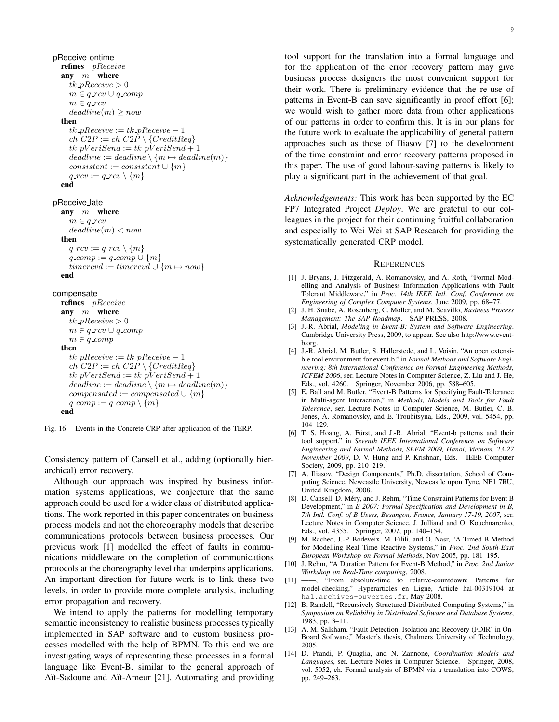pReceive ontime refines pReceive any  $m$  where  $tk\_pReceive>0$  $m \in q\_rcv \cup q\_comp$  $m \in q_{\textit{rcv}}$  $deadline(m) \geq now$ then  $tk\_pReceive := tk\_pReceive - 1$  $ch\_C2P := ch\_C2P \setminus \{CreditReq\}$  $tk\_pVeriSend := tk\_pVeriSend + 1$  $deadline := deadline \setminus \{m \mapsto deadline(m)\}\$  $consistent := consistent \cup \{m\}$  $q_{\textit{-}rcv} := q_{\textit{-}rcv} \setminus \{m\}$ end

```
pReceive late
```

```
any m where
   m \in q_{\textit{rcv}}deadline(m) < nowthen
   q_{\textit{TCV}} := q_{\textit{TCV}} \setminus \{m\}q_{\text{-}comp} := q_{\text{-}comp} \cup \{m\}timeout := timercvd \cup \{m \mapsto now\}end
```

```
compensate
  refines pReceive
  any m where
    tk-pReceive > 0m \in q\_rcv \cup q\_compm \in q\_compthen
    tk\_pReceive := tk\_pReceive - 1ch\_C2P := ch\_C2P \setminus \{CreditReg\}tk\_pVeriSend := tk\_pVeriSend + 1deadline := deadline \setminus \{m \mapsto deadline(m)\}\compensated := compensated \cup \{m\}q_{\text{a}} = q_{\text{b}} \setminus \{m\}end
```
Fig. 16. Events in the Concrete CRP after application of the TERP.

Consistency pattern of Cansell et al., adding (optionally hierarchical) error recovery.

Although our approach was inspired by business information systems applications, we conjecture that the same approach could be used for a wider class of distributed applications. The work reported in this paper concentrates on business process models and not the choreography models that describe communications protocols between business processes. Our previous work [1] modelled the effect of faults in communications middleware on the completion of communications protocols at the choreography level that underpins applications. An important direction for future work is to link these two levels, in order to provide more complete analysis, including error propagation and recovery.

We intend to apply the patterns for modelling temporary semantic inconsistency to realistic business processes typically implemented in SAP software and to custom business processes modelled with the help of BPMN. To this end we are investigating ways of representing these processes in a formal language like Event-B, similar to the general approach of Aït-Sadoune and Aït-Ameur [21]. Automating and providing tool support for the translation into a formal language and for the application of the error recovery pattern may give business process designers the most convenient support for their work. There is preliminary evidence that the re-use of patterns in Event-B can save significantly in proof effort [6]; we would wish to gather more data from other applications of our patterns in order to confirm this. It is in our plans for the future work to evaluate the applicability of general pattern approaches such as those of Iliasov [7] to the development of the time constraint and error recovery patterns proposed in this paper. The use of good labour-saving patterns is likely to play a significant part in the achievement of that goal.

*Acknowledgements:* This work has been supported by the EC FP7 Integrated Project *Deploy*. We are grateful to our colleagues in the project for their continuing fruitful collaboration and especially to Wei Wei at SAP Research for providing the systematically generated CRP model.

#### **REFERENCES**

- [1] J. Bryans, J. Fitzgerald, A. Romanovsky, and A. Roth, "Formal Modelling and Analysis of Business Information Applications with Fault Tolerant Middleware," in *Proc. 14th IEEE Intl. Conf. Conference on Engineering of Complex Computer Systems*, June 2009, pp. 68–77.
- [2] J. H. Snabe, A. Rosenberg, C. Moller, and M. Scavillo, *Business Process Management: The SAP Roadmap*. SAP PRESS, 2008.
- [3] J.-R. Abrial, *Modeling in Event-B: System and Software Engineering*. Cambridge University Press, 2009, to appear. See also http://www.eventb.org.
- [4] J.-R. Abrial, M. Butler, S. Hallerstede, and L. Voisin, "An open extensible tool environment for event-b," in *Formal Methods and Software Engineering: 8th International Conference on Formal Engineering Methods, ICFEM 2006*, ser. Lecture Notes in Computer Science, Z. Liu and J. He, Eds., vol. 4260. Springer, November 2006, pp. 588–605.
- [5] E. Ball and M. Butler, "Event-B Patterns for Specifying Fault-Tolerance in Multi-agent Interaction," in *Methods, Models and Tools for Fault Tolerance*, ser. Lecture Notes in Computer Science, M. Butler, C. B. Jones, A. Romanovsky, and E. Troubitsyna, Eds., 2009, vol. 5454, pp. 104–129.
- [6] T. S. Hoang, A. Fürst, and J.-R. Abrial, "Event-b patterns and their tool support," in *Seventh IEEE International Conference on Software Engineering and Formal Methods, SEFM 2009, Hanoi, Vietnam, 23-27 November 2009*, D. V. Hung and P. Krishnan, Eds. IEEE Computer Society, 2009, pp. 210–219.
- [7] A. Iliasov, "Design Components," Ph.D. dissertation, School of Computing Science, Newcastle University, Newcastle upon Tyne, NE1 7RU, United Kingdom, 2008.
- [8] D. Cansell, D. Méry, and J. Rehm, "Time Constraint Patterns for Event B Development," in *B 2007: Formal Specification and Development in B,* 7th Intl. Conf. of B Users, Besançon, France, January 17-19, 2007, ser. Lecture Notes in Computer Science, J. Julliand and O. Kouchnarenko, Eds., vol. 4355. Springer, 2007, pp. 140–154.
- [9] M. Rached, J.-P. Bodeveix, M. Filili, and O. Nasr, "A Timed B Method for Modelling Real Time Reactive Systems," in *Proc. 2nd South-East European Workshop on Formal Methods*, Nov 2005, pp. 181–195.
- [10] J. Rehm, "A Duration Pattern for Event-B Method," in *Proc. 2nd Junior Workshop on Real-Time computing*, 2008.
- [11] ——, "From absolute-time to relative-countdown: Patterns for model-checking," Hyperarticles en Ligne, Article hal-00319104 at hal.archives-ouvertes.fr, May 2008.
- [12] B. Randell, "Recursively Structured Distributed Computing Systems," in *Symposium on Reliability in Distributed Software and Database Systems*, 1983, pp. 3–11.
- [13] A. M. Salkham, "Fault Detection, Isolation and Recovery (FDIR) in On-Board Software," Master's thesis, Chalmers University of Technology, 2005.
- [14] D. Prandi, P. Quaglia, and N. Zannone, *Coordination Models and Languages*, ser. Lecture Notes in Computer Science. Springer, 2008, vol. 5052, ch. Formal analysis of BPMN via a translation into COWS, pp. 249–263.